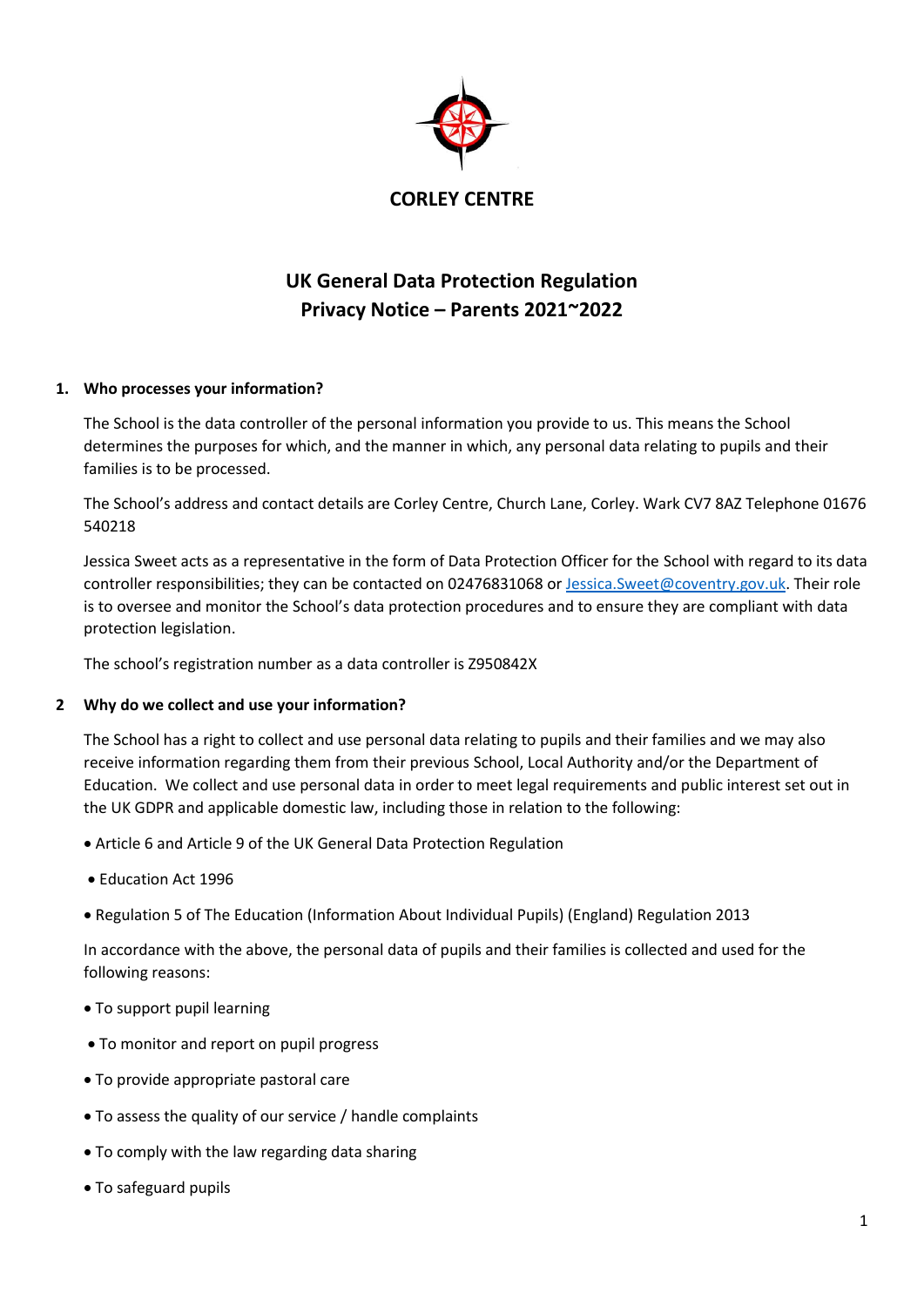

# **UK General Data Protection Regulation Privacy Notice – Parents 2021~2022**

# **1. Who processes your information?**

The School is the data controller of the personal information you provide to us. This means the School determines the purposes for which, and the manner in which, any personal data relating to pupils and their families is to be processed.

The School's address and contact details are Corley Centre, Church Lane, Corley. Wark CV7 8AZ Telephone 01676 540218

Jessica Sweet acts as a representative in the form of Data Protection Officer for the School with regard to its data controller responsibilities; they can be contacted on 02476831068 o[r Jessica.Sweet@coventry.gov.uk.](mailto:Jessica.Sweet@coventry.gov.uk) Their role is to oversee and monitor the School's data protection procedures and to ensure they are compliant with data protection legislation.

The school's registration number as a data controller is Z950842X

## **2 Why do we collect and use your information?**

The School has a right to collect and use personal data relating to pupils and their families and we may also receive information regarding them from their previous School, Local Authority and/or the Department of Education. We collect and use personal data in order to meet legal requirements and public interest set out in the UK GDPR and applicable domestic law, including those in relation to the following:

- Article 6 and Article 9 of the UK General Data Protection Regulation
- Education Act 1996
- Regulation 5 of The Education (Information About Individual Pupils) (England) Regulation 2013

In accordance with the above, the personal data of pupils and their families is collected and used for the following reasons:

- To support pupil learning
- To monitor and report on pupil progress
- To provide appropriate pastoral care
- To assess the quality of our service / handle complaints
- To comply with the law regarding data sharing
- To safeguard pupils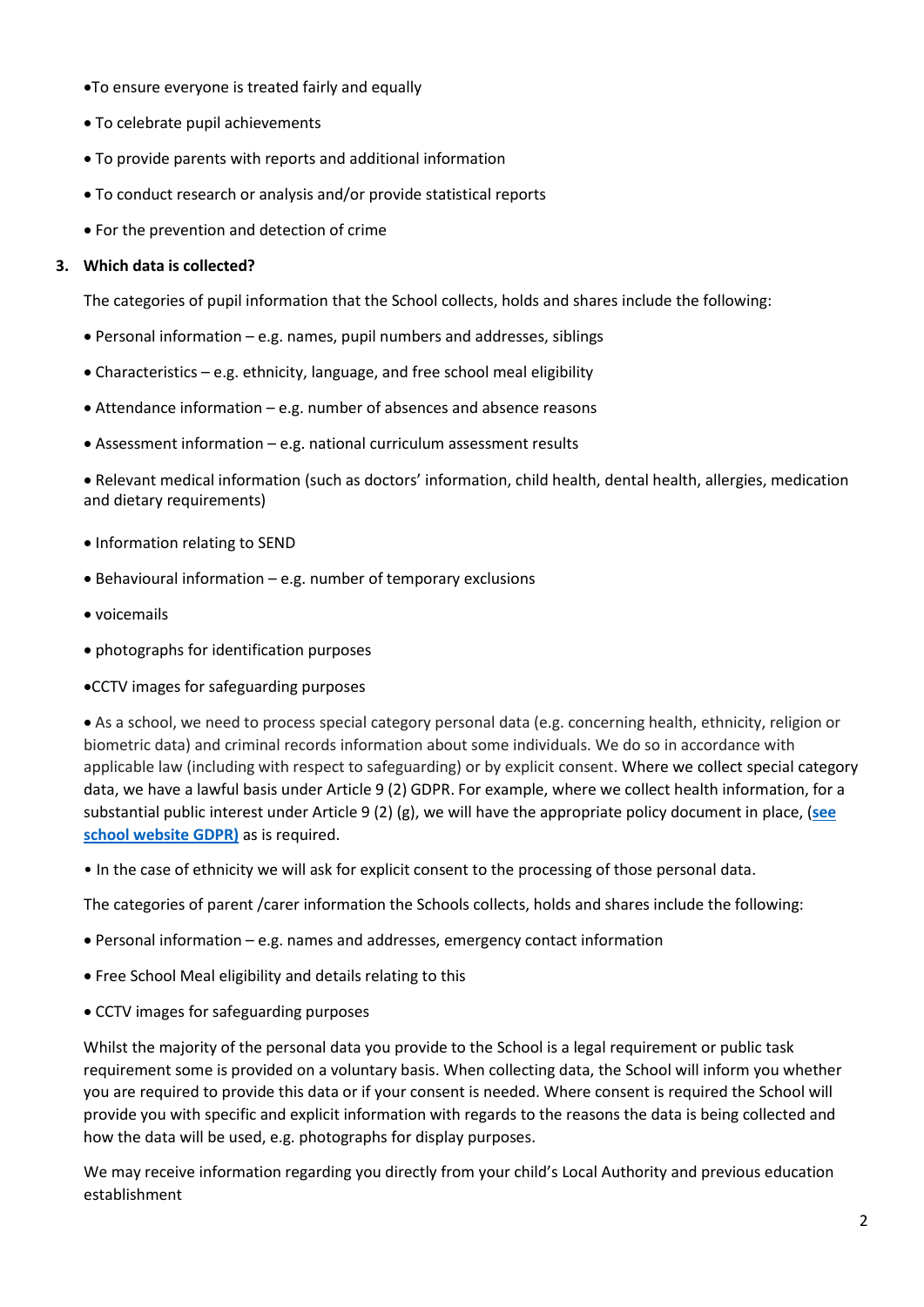- To ensure everyone is treated fairly and equally
- To celebrate pupil achievements
- To provide parents with reports and additional information
- To conduct research or analysis and/or provide statistical reports
- For the prevention and detection of crime

#### **3. Which data is collected?**

The categories of pupil information that the School collects, holds and shares include the following:

- Personal information e.g. names, pupil numbers and addresses, siblings
- Characteristics e.g. ethnicity, language, and free school meal eligibility
- Attendance information e.g. number of absences and absence reasons
- Assessment information e.g. national curriculum assessment results

 Relevant medical information (such as doctors' information, child health, dental health, allergies, medication and dietary requirements)

- Information relating to SEND
- $\bullet$  Behavioural information e.g. number of temporary exclusions
- voicemails
- photographs for identification purposes
- CCTV images for safeguarding purposes

 As a school, we need to process special category personal data (e.g. concerning health, ethnicity, religion or biometric data) and criminal records information about some individuals. We do so in accordance with applicable law (including with respect to safeguarding) or by explicit consent. Where we collect special category data, we have a lawful basis under Article 9 (2) GDPR. For example, where we collect health information, for a substantial public interest under Article 9 (2) (g), we will have the appropriate policy document in place, (**[see](http://corleycentre.co.uk/test-2/)  [school website GDPR\)](http://corleycentre.co.uk/test-2/)** as is required.

• In the case of ethnicity we will ask for explicit consent to the processing of those personal data.

The categories of parent /carer information the Schools collects, holds and shares include the following:

- Personal information e.g. names and addresses, emergency contact information
- Free School Meal eligibility and details relating to this
- CCTV images for safeguarding purposes

Whilst the majority of the personal data you provide to the School is a legal requirement or public task requirement some is provided on a voluntary basis. When collecting data, the School will inform you whether you are required to provide this data or if your consent is needed. Where consent is required the School will provide you with specific and explicit information with regards to the reasons the data is being collected and how the data will be used, e.g. photographs for display purposes.

We may receive information regarding you directly from your child's Local Authority and previous education establishment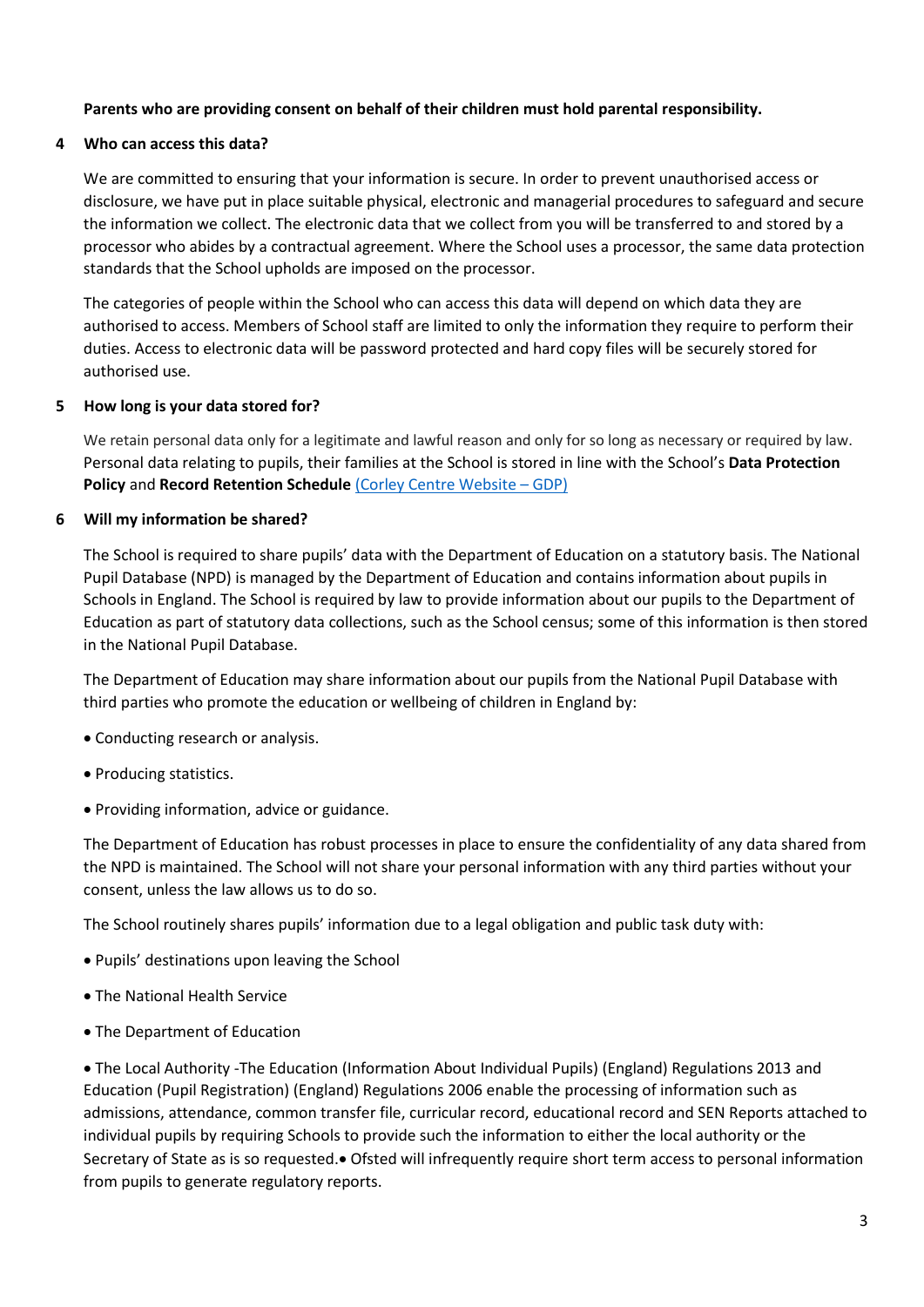## **Parents who are providing consent on behalf of their children must hold parental responsibility.**

#### **4 Who can access this data?**

We are committed to ensuring that your information is secure. In order to prevent unauthorised access or disclosure, we have put in place suitable physical, electronic and managerial procedures to safeguard and secure the information we collect. The electronic data that we collect from you will be transferred to and stored by a processor who abides by a contractual agreement. Where the School uses a processor, the same data protection standards that the School upholds are imposed on the processor.

The categories of people within the School who can access this data will depend on which data they are authorised to access. Members of School staff are limited to only the information they require to perform their duties. Access to electronic data will be password protected and hard copy files will be securely stored for authorised use.

#### **5 How long is your data stored for?**

We retain personal data only for a legitimate and lawful reason and only for so long as necessary or required by law. Personal data relating to pupils, their families at the School is stored in line with the School's **Data Protection Policy** and **Record Retention Schedule** [\(Corley Centre Website](http://corleycentre.co.uk/test-2/) – GDP)

#### **6 Will my information be shared?**

The School is required to share pupils' data with the Department of Education on a statutory basis. The National Pupil Database (NPD) is managed by the Department of Education and contains information about pupils in Schools in England. The School is required by law to provide information about our pupils to the Department of Education as part of statutory data collections, such as the School census; some of this information is then stored in the National Pupil Database.

The Department of Education may share information about our pupils from the National Pupil Database with third parties who promote the education or wellbeing of children in England by:

- Conducting research or analysis.
- Producing statistics.
- Providing information, advice or guidance.

The Department of Education has robust processes in place to ensure the confidentiality of any data shared from the NPD is maintained. The School will not share your personal information with any third parties without your consent, unless the law allows us to do so.

The School routinely shares pupils' information due to a legal obligation and public task duty with:

- Pupils' destinations upon leaving the School
- The National Health Service
- The Department of Education

 The Local Authority -The Education (Information About Individual Pupils) (England) Regulations 2013 and Education (Pupil Registration) (England) Regulations 2006 enable the processing of information such as admissions, attendance, common transfer file, curricular record, educational record and SEN Reports attached to individual pupils by requiring Schools to provide such the information to either the local authority or the Secretary of State as is so requested. Ofsted will infrequently require short term access to personal information from pupils to generate regulatory reports.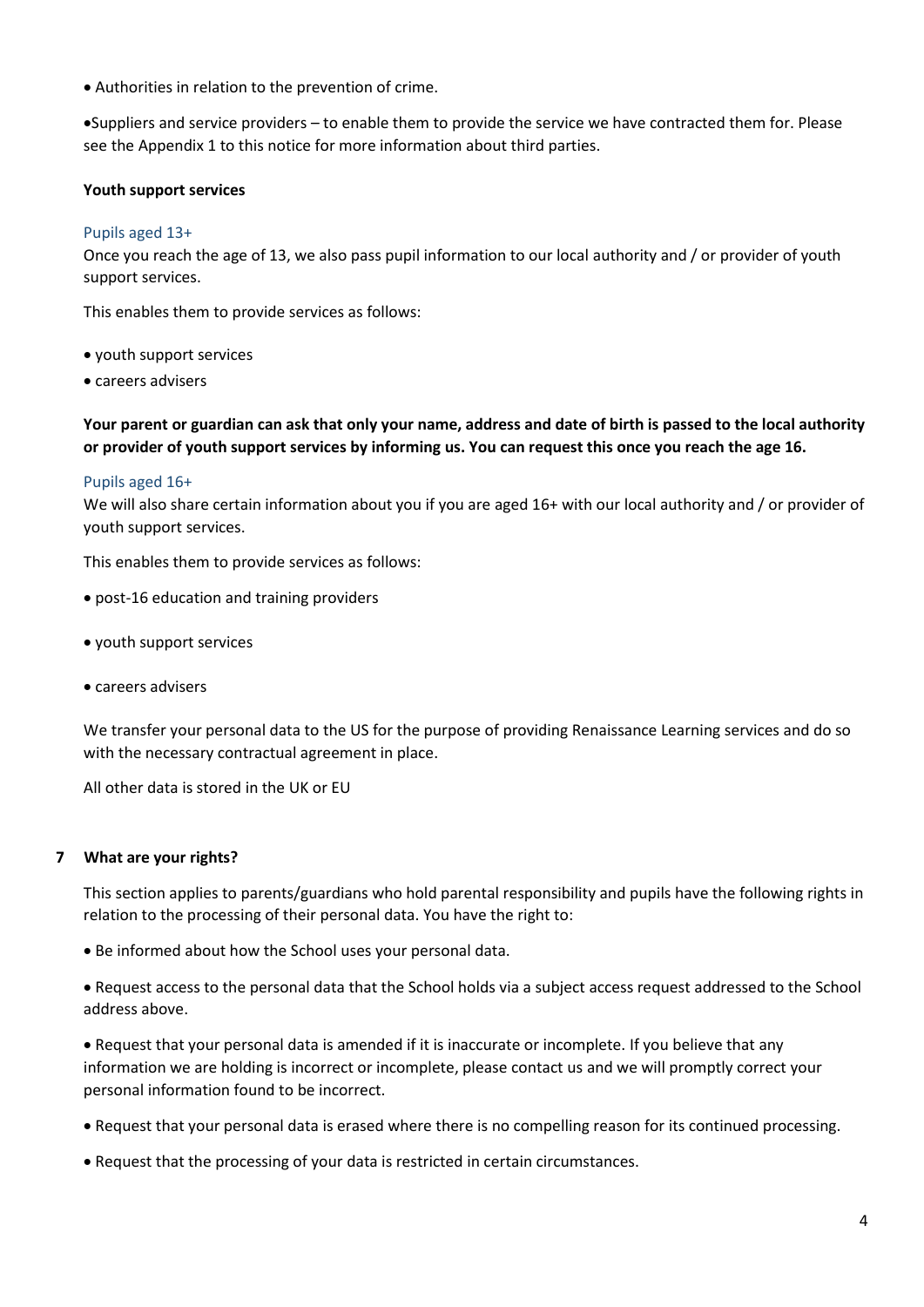Authorities in relation to the prevention of crime.

Suppliers and service providers – to enable them to provide the service we have contracted them for. Please see the Appendix 1 to this notice for more information about third parties.

## **Youth support services**

#### Pupils aged 13+

Once you reach the age of 13, we also pass pupil information to our local authority and / or provider of youth support services.

This enables them to provide services as follows:

- youth support services
- careers advisers

**Your parent or guardian can ask that only your name, address and date of birth is passed to the local authority or provider of youth support services by informing us. You can request this once you reach the age 16.** 

#### Pupils aged 16+

We will also share certain information about you if you are aged 16+ with our local authority and / or provider of youth support services.

This enables them to provide services as follows:

- post-16 education and training providers
- youth support services
- careers advisers

We transfer your personal data to the US for the purpose of providing Renaissance Learning services and do so with the necessary contractual agreement in place.

All other data is stored in the UK or EU

#### **7 What are your rights?**

This section applies to parents/guardians who hold parental responsibility and pupils have the following rights in relation to the processing of their personal data. You have the right to:

Be informed about how the School uses your personal data.

 Request access to the personal data that the School holds via a subject access request addressed to the School address above.

 Request that your personal data is amended if it is inaccurate or incomplete. If you believe that any information we are holding is incorrect or incomplete, please contact us and we will promptly correct your personal information found to be incorrect.

- Request that your personal data is erased where there is no compelling reason for its continued processing.
- Request that the processing of your data is restricted in certain circumstances.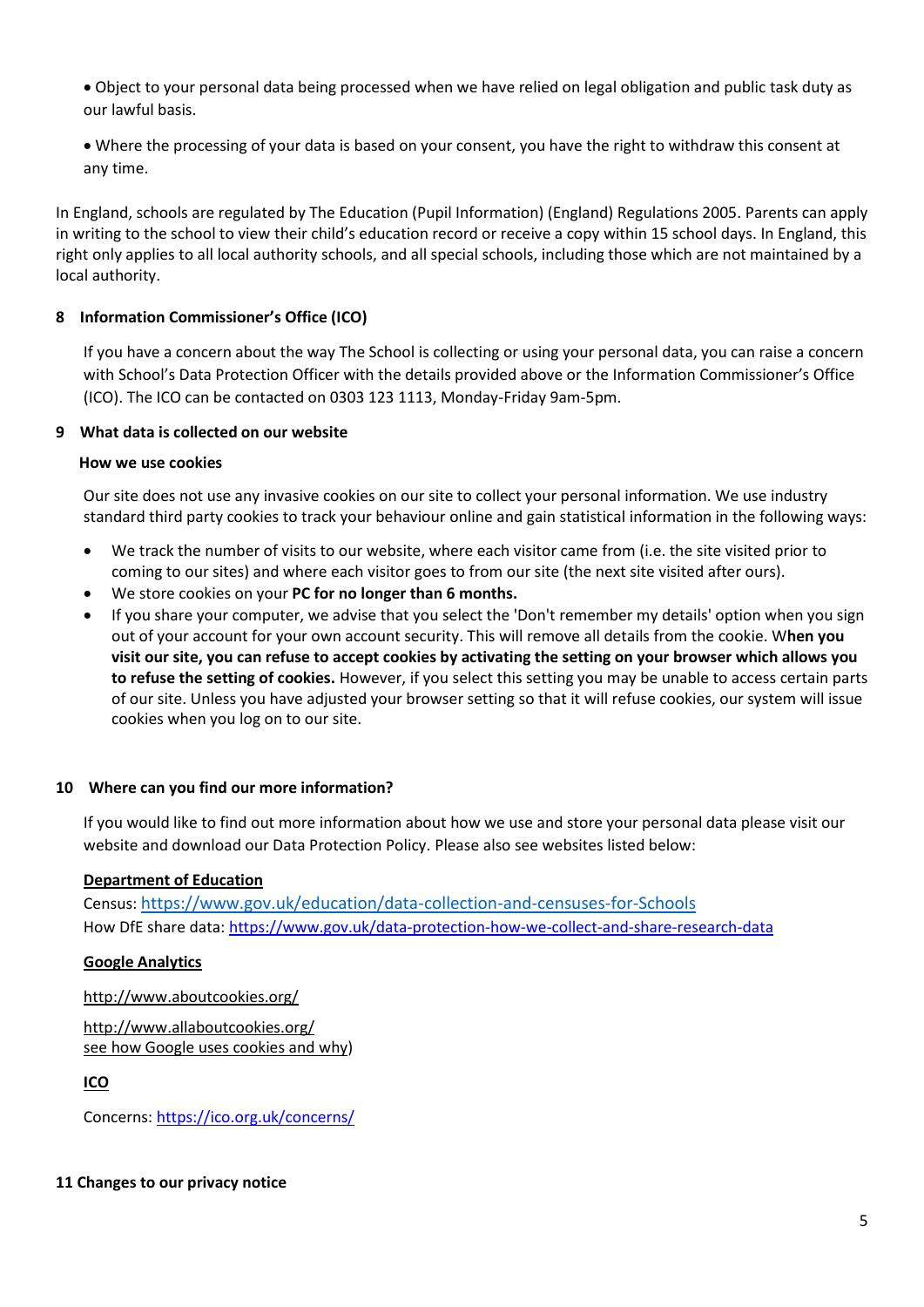- Object to your personal data being processed when we have relied on legal obligation and public task duty as our lawful basis.
- Where the processing of your data is based on your consent, you have the right to withdraw this consent at any time.

In England, schools are regulated by The Education (Pupil Information) (England) Regulations 2005. Parents can apply in writing to the school to view their child's education record or receive a copy within 15 school days. In England, this right only applies to all local authority schools, and all special schools, including those which are not maintained by a local authority.

# **8 Information Commissioner's Office (ICO)**

If you have a concern about the way The School is collecting or using your personal data, you can raise a concern with School's Data Protection Officer with the details provided above or the Information Commissioner's Office (ICO). The ICO can be contacted on 0303 123 1113, Monday-Friday 9am-5pm.

#### **9 What data is collected on our website**

#### **How we use cookies**

Our site does not use any invasive cookies on our site to collect your personal information. We use industry standard third party cookies to track your behaviour online and gain statistical information in the following ways:

- We track the number of visits to our website, where each visitor came from (i.e. the site visited prior to coming to our sites) and where each visitor goes to from our site (the next site visited after ours).
- We store cookies on your **PC for no longer than 6 months.**
- If you share your computer, we advise that you select the 'Don't remember my details' option when you sign out of your account for your own account security. This will remove all details from the cookie. W**hen you visit our site, you can refuse to accept cookies by activating the setting on your browser which allows you to refuse the setting of cookies.** However, if you select this setting you may be unable to access certain parts of our site. Unless you have adjusted your browser setting so that it will refuse cookies, our system will issue cookies when you log on to our site.

## **10 Where can you find our more information?**

If you would like to find out more information about how we use and store your personal data please visit our website and download our Data Protection Policy. Please also see websites listed below:

## **Department of Education**

Census: [https://www.gov.uk/education/data-collection-and-censuses-for-Schools](https://www.gov.uk/education/data-collection-and-censuses-for-schools) How DfE share data[: https://www.gov.uk/data-protection-how-we-collect-and-share-research-data](https://www.gov.uk/data-protection-how-we-collect-and-share-research-data)

## **Google Analytics**

<http://www.aboutcookies.org/>

<http://www.allaboutcookies.org/> [see how Google uses cookies and why\)](http://code.google.com/apis/analytics/docs/concepts/gaConceptsCookies.html)

**ICO** 

Concerns:<https://ico.org.uk/concerns/>

#### **11 Changes to our privacy notice**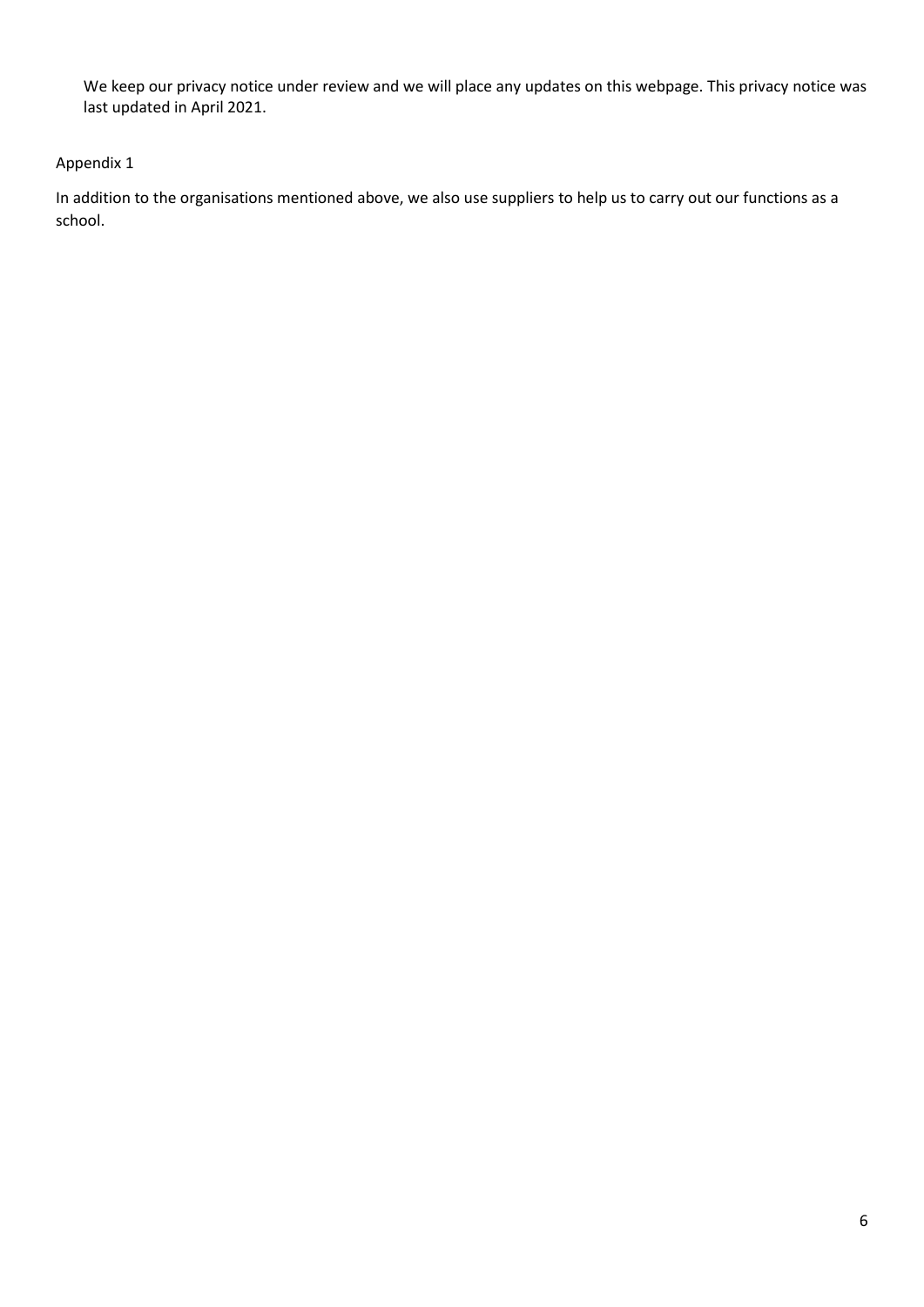We keep our privacy notice under review and we will place any updates on this webpage. This privacy notice was last updated in April 2021.

# Appendix 1

In addition to the organisations mentioned above, we also use suppliers to help us to carry out our functions as a school.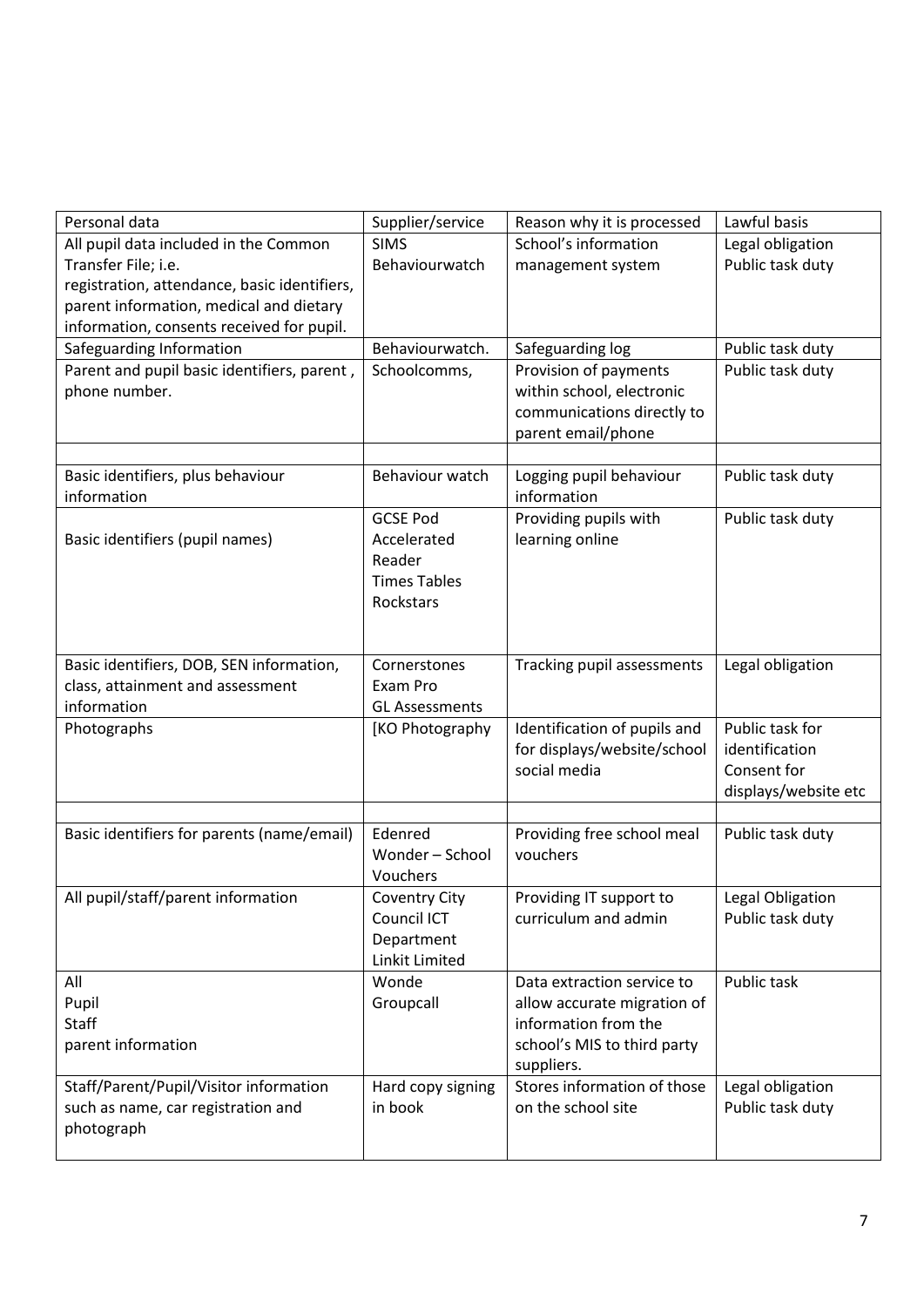| Personal data                                    | Supplier/service                    | Reason why it is processed             | Lawful basis         |
|--------------------------------------------------|-------------------------------------|----------------------------------------|----------------------|
| All pupil data included in the Common            | <b>SIMS</b>                         | School's information                   | Legal obligation     |
| Transfer File; i.e.                              | Behaviourwatch                      | management system                      | Public task duty     |
| registration, attendance, basic identifiers,     |                                     |                                        |                      |
| parent information, medical and dietary          |                                     |                                        |                      |
| information, consents received for pupil.        |                                     |                                        |                      |
| Safeguarding Information                         | Behaviourwatch.                     | Safeguarding log                       | Public task duty     |
| Parent and pupil basic identifiers, parent,      | Schoolcomms,                        | Provision of payments                  | Public task duty     |
| phone number.                                    |                                     | within school, electronic              |                      |
|                                                  |                                     | communications directly to             |                      |
|                                                  |                                     | parent email/phone                     |                      |
|                                                  | Behaviour watch                     |                                        |                      |
| Basic identifiers, plus behaviour<br>information |                                     | Logging pupil behaviour<br>information | Public task duty     |
|                                                  | <b>GCSE Pod</b>                     | Providing pupils with                  | Public task duty     |
| Basic identifiers (pupil names)                  | Accelerated                         | learning online                        |                      |
|                                                  | Reader                              |                                        |                      |
|                                                  | <b>Times Tables</b>                 |                                        |                      |
|                                                  | Rockstars                           |                                        |                      |
|                                                  |                                     |                                        |                      |
|                                                  |                                     |                                        |                      |
| Basic identifiers, DOB, SEN information,         | Cornerstones                        | Tracking pupil assessments             | Legal obligation     |
| class, attainment and assessment                 | Exam Pro                            |                                        |                      |
| information                                      | <b>GL Assessments</b>               |                                        |                      |
| Photographs                                      | [KO Photography                     | Identification of pupils and           | Public task for      |
|                                                  |                                     | for displays/website/school            | identification       |
|                                                  |                                     | social media                           | Consent for          |
|                                                  |                                     |                                        | displays/website etc |
|                                                  |                                     |                                        |                      |
| Basic identifiers for parents (name/email)       | Edenred<br>Wonder - School          | Providing free school meal             | Public task duty     |
|                                                  | Vouchers                            | vouchers                               |                      |
| All pupil/staff/parent information               |                                     | Providing IT support to                | Legal Obligation     |
|                                                  | <b>Coventry City</b><br>Council ICT | curriculum and admin                   | Public task duty     |
|                                                  | Department                          |                                        |                      |
|                                                  | Linkit Limited                      |                                        |                      |
| All                                              | Wonde                               | Data extraction service to             | Public task          |
| Pupil                                            | Groupcall                           | allow accurate migration of            |                      |
| <b>Staff</b>                                     |                                     | information from the                   |                      |
| parent information                               |                                     | school's MIS to third party            |                      |
|                                                  |                                     | suppliers.                             |                      |
| Staff/Parent/Pupil/Visitor information           | Hard copy signing                   | Stores information of those            | Legal obligation     |
| such as name, car registration and               | in book                             | on the school site                     | Public task duty     |
| photograph                                       |                                     |                                        |                      |
|                                                  |                                     |                                        |                      |